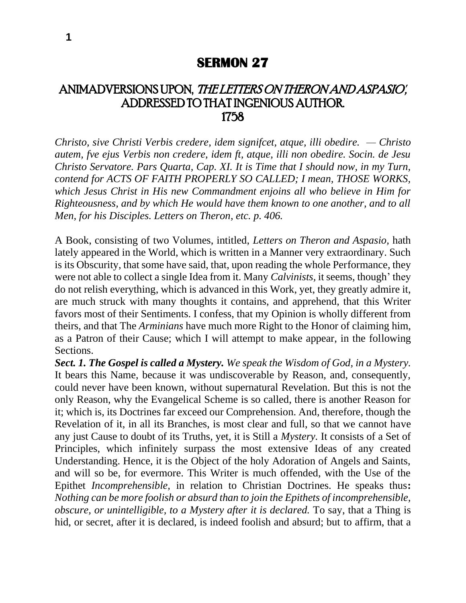## **SERMON 27**

## ANIMADVERSIONS UPON, 'THE LETTERS ON THERON AND ASPASIO', ADDRESSED TO THAT INGENIOUS AUTHOR. 1758

*Christo, sive Christi Verbis credere, idem signifcet, atque, illi obedire. — Christo autem, fve ejus Verbis non credere, idem ft, atque, illi non obedire. Socin. de Jesu Christo Servatore. Pars Quarta, Cap. XI. It is Time that I should now, in my Turn, contend for ACTS OF FAITH PROPERLY SO CALLED; I mean, THOSE WORKS, which Jesus Christ in His new Commandment enjoins all who believe in Him for Righteousness, and by which He would have them known to one another, and to all Men, for his Disciples. Letters on Theron, etc. p. 406.*

A Book, consisting of two Volumes, intitled, *Letters on Theron and Aspasio,* hath lately appeared in the World, which is written in a Manner very extraordinary. Such is its Obscurity, that some have said, that, upon reading the whole Performance, they were not able to collect a single Idea from it. Many *Calvinists,* it seems, though' they do not relish everything, which is advanced in this Work, yet, they greatly admire it, are much struck with many thoughts it contains, and apprehend, that this Writer favors most of their Sentiments. I confess, that my Opinion is wholly different from theirs, and that The *Arminians* have much more Right to the Honor of claiming him, as a Patron of their Cause; which I will attempt to make appear, in the following Sections.

*Sect. 1. The Gospel is called a Mystery. We speak the Wisdom of God, in a Mystery.*  It bears this Name, because it was undiscoverable by Reason, and, consequently, could never have been known, without supernatural Revelation. But this is not the only Reason, why the Evangelical Scheme is so called, there is another Reason for it; which is, its Doctrines far exceed our Comprehension. And, therefore, though the Revelation of it, in all its Branches, is most clear and full, so that we cannot have any just Cause to doubt of its Truths, yet, it is Still a *Mystery.* It consists of a Set of Principles, which infinitely surpass the most extensive Ideas of any created Understanding. Hence, it is the Object of the holy Adoration of Angels and Saints, and will so be, for evermore. This Writer is much offended, with the Use of the Epithet *Incomprehensible,* in relation to Christian Doctrines. He speaks thus**:**  *Nothing can be more foolish or absurd than to join the Epithets of incomprehensible, obscure, or unintelligible, to a Mystery after it is declared.* To say, that a Thing is hid, or secret, after it is declared, is indeed foolish and absurd; but to affirm, that a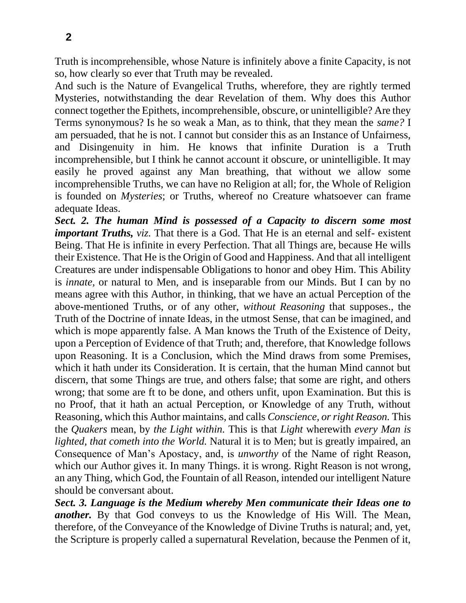so, how clearly so ever that Truth may be revealed. And such is the Nature of Evangelical Truths, wherefore, they are rightly termed Mysteries, notwithstanding the dear Revelation of them. Why does this Author connect together the Epithets, incomprehensible, obscure, or unintelligible? Are they Terms synonymous? Is he so weak a Man, as to think, that they mean the *same?* I am persuaded, that he is not. I cannot but consider this as an Instance of Unfairness, and Disingenuity in him. He knows that infinite Duration is a Truth incomprehensible, but I think he cannot account it obscure, or unintelligible. It may easily he proved against any Man breathing, that without we allow some incomprehensible Truths, we can have no Religion at all; for, the Whole of Religion is founded on *Mysteries*; or Truths, whereof no Creature whatsoever can frame adequate Ideas.

*Sect. 2. The human Mind is possessed of a Capacity to discern some most important Truths, viz.* That there is a God. That He is an eternal and self- existent Being. That He is infinite in every Perfection. That all Things are, because He wills their Existence. That He is the Origin of Good and Happiness. And that all intelligent Creatures are under indispensable Obligations to honor and obey Him. This Ability is *innate,* or natural to Men, and is inseparable from our Minds. But I can by no means agree with this Author, in thinking, that we have an actual Perception of the above-mentioned Truths, or of any other, *without Reasoning* that supposes., the Truth of the Doctrine of innate Ideas, in the utmost Sense, that can be imagined, and which is mope apparently false. A Man knows the Truth of the Existence of Deity, upon a Perception of Evidence of that Truth; and, therefore, that Knowledge follows upon Reasoning. It is a Conclusion, which the Mind draws from some Premises, which it hath under its Consideration. It is certain, that the human Mind cannot but discern, that some Things are true, and others false; that some are right, and others wrong; that some are ft to be done, and others unfit, upon Examination. But this is no Proof, that it hath an actual Perception, or Knowledge of any Truth, without Reasoning, which this Author maintains, and calls *Conscience, or right Reason.* This the *Quakers* mean, by *the Light within.* This is that *Light* wherewith *every Man is lighted, that cometh into the World.* Natural it is to Men; but is greatly impaired, an Consequence of Man's Apostacy, and, is *unworthy* of the Name of right Reason, which our Author gives it. In many Things. it is wrong. Right Reason is not wrong, an any Thing, which God, the Fountain of all Reason, intended our intelligent Nature should be conversant about.

*Sect. 3. Language is the Medium whereby Men communicate their Ideas one to another.* By that God conveys to us the Knowledge of His Will. The Mean, therefore, of the Conveyance of the Knowledge of Divine Truths is natural; and, yet, the Scripture is properly called a supernatural Revelation, because the Penmen of it,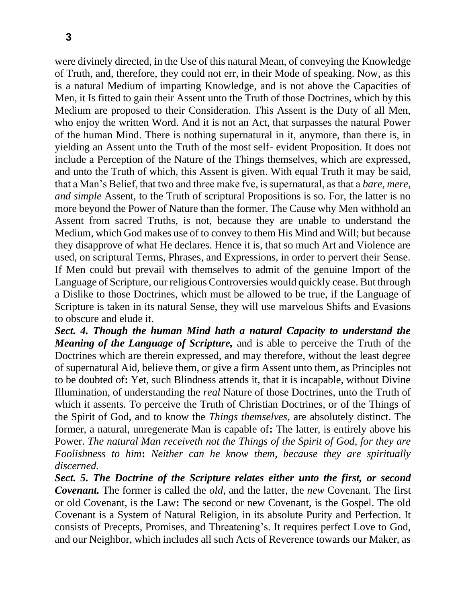were divinely directed, in the Use of this natural Mean, of conveying the Knowledge of Truth, and, therefore, they could not err, in their Mode of speaking. Now, as this is a natural Medium of imparting Knowledge, and is not above the Capacities of Men, it Is fitted to gain their Assent unto the Truth of those Doctrines, which by this Medium are proposed to their Consideration. This Assent is the Duty of all Men, who enjoy the written Word. And it is not an Act, that surpasses the natural Power of the human Mind. There is nothing supernatural in it, anymore, than there is, in yielding an Assent unto the Truth of the most self- evident Proposition. It does not include a Perception of the Nature of the Things themselves, which are expressed, and unto the Truth of which, this Assent is given. With equal Truth it may be said, that a Man's Belief, that two and three make fve, is supernatural, as that a *bare, mere, and simple* Assent, to the Truth of scriptural Propositions is so. For, the latter is no more beyond the Power of Nature than the former. The Cause why Men withhold an Assent from sacred Truths, is not, because they are unable to understand the Medium, which God makes use of to convey to them His Mind and Will; but because they disapprove of what He declares. Hence it is, that so much Art and Violence are used, on scriptural Terms, Phrases, and Expressions, in order to pervert their Sense. If Men could but prevail with themselves to admit of the genuine Import of the Language of Scripture, our religious Controversies would quickly cease. But through a Dislike to those Doctrines, which must be allowed to be true, if the Language of Scripture is taken in its natural Sense, they will use marvelous Shifts and Evasions to obscure and elude it.

*Sect. 4. Though the human Mind hath a natural Capacity to understand the Meaning of the Language of Scripture,* and is able to perceive the Truth of the Doctrines which are therein expressed, and may therefore, without the least degree of supernatural Aid, believe them, or give a firm Assent unto them, as Principles not to be doubted of**:** Yet, such Blindness attends it, that it is incapable, without Divine Illumination, of understanding the *real* Nature of those Doctrines, unto the Truth of which it assents. To perceive the Truth of Christian Doctrines, or of the Things of the Spirit of God, and to know the *Things themselves,* are absolutely distinct. The former, a natural, unregenerate Man is capable of**:** The latter, is entirely above his Power. *The natural Man receiveth not the Things of the Spirit of God, for they are Foolishness to him***:** *Neither can he know them, because they are spiritually discerned.*

*Sect. 5. The Doctrine of the Scripture relates either unto the first, or second Covenant.* The former is called the *old,* and the latter, the *new* Covenant. The first or old Covenant, is the Law**:** The second or new Covenant, is the Gospel. The old Covenant is a System of Natural Religion, in its absolute Purity and Perfection. It consists of Precepts, Promises, and Threatening's. It requires perfect Love to God, and our Neighbor, which includes all such Acts of Reverence towards our Maker, as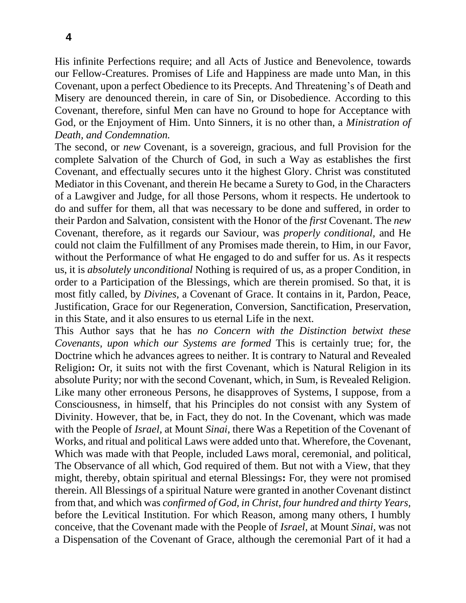His infinite Perfections require; and all Acts of Justice and Benevolence, towards our Fellow-Creatures. Promises of Life and Happiness are made unto Man, in this Covenant, upon a perfect Obedience to its Precepts. And Threatening's of Death and Misery are denounced therein, in care of Sin, or Disobedience. According to this Covenant, therefore, sinful Men can have no Ground to hope for Acceptance with God, or the Enjoyment of Him. Unto Sinners, it is no other than, a *Ministration of Death, and Condemnation.*

The second, or *new* Covenant, is a sovereign, gracious, and full Provision for the complete Salvation of the Church of God, in such a Way as establishes the first Covenant, and effectually secures unto it the highest Glory. Christ was constituted Mediator in this Covenant, and therein He became a Surety to God, in the Characters of a Lawgiver and Judge, for all those Persons, whom it respects. He undertook to do and suffer for them, all that was necessary to be done and suffered, in order to their Pardon and Salvation, consistent with the Honor of the *first* Covenant. The *new*  Covenant, therefore, as it regards our Saviour, was *properly conditional,* and He could not claim the Fulfillment of any Promises made therein, to Him, in our Favor, without the Performance of what He engaged to do and suffer for us. As it respects us, it is *absolutely unconditional* Nothing is required of us, as a proper Condition, in order to a Participation of the Blessings, which are therein promised. So that, it is most fitly called, by *Divines,* a Covenant of Grace. It contains in it, Pardon, Peace, Justification, Grace for our Regeneration, Conversion, Sanctification, Preservation, in this State, and it also ensures to us eternal Life in the next.

This Author says that he has *no Concern with the Distinction betwixt these Covenants, upon which our Systems are formed* This is certainly true; for, the Doctrine which he advances agrees to neither. It is contrary to Natural and Revealed Religion**:** Or, it suits not with the first Covenant, which is Natural Religion in its absolute Purity; nor with the second Covenant, which, in Sum, is Revealed Religion. Like many other erroneous Persons, he disapproves of Systems, I suppose, from a Consciousness, in himself, that his Principles do not consist with any System of Divinity. However, that be, in Fact, they do not. In the Covenant, which was made with the People of *Israel,* at Mount *Sinai,* there Was a Repetition of the Covenant of Works, and ritual and political Laws were added unto that. Wherefore, the Covenant, Which was made with that People, included Laws moral, ceremonial, and political, The Observance of all which, God required of them. But not with a View, that they might, thereby, obtain spiritual and eternal Blessings**:** For, they were not promised therein. All Blessings of a spiritual Nature were granted in another Covenant distinct from that, and which was *confirmed of God, in Christ, four hundred and thirty Years,*  before the Levitical Institution. For which Reason, among many others, I humbly conceive, that the Covenant made with the People of *Israel,* at Mount *Sinai,* was not a Dispensation of the Covenant of Grace, although the ceremonial Part of it had a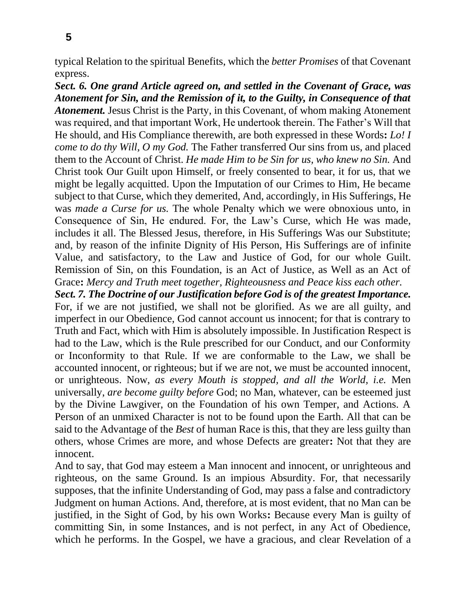typical Relation to the spiritual Benefits, which the *better Promises* of that Covenant express.

*Sect. 6. One grand Article agreed on, and settled in the Covenant of Grace, was Atonement for Sin, and the Remission of it, to the Guilty, in Consequence of that Atonement.* Jesus Christ is the Party, in this Covenant, of whom making Atonement was required, and that important Work, He undertook therein. The Father's Will that He should, and His Compliance therewith, are both expressed in these Words**:** *Lo! I come to do thy Will, O my God.* The Father transferred Our sins from us, and placed them to the Account of Christ. *He made Him to be Sin for us, who knew no Sin.* And Christ took Our Guilt upon Himself, or freely consented to bear, it for us, that we might be legally acquitted. Upon the Imputation of our Crimes to Him, He became subject to that Curse, which they demerited, And, accordingly, in His Sufferings, He was *made a Curse for us.* The whole Penalty which we were obnoxious unto, in Consequence of Sin, He endured. For, the Law's Curse, which He was made, includes it all. The Blessed Jesus, therefore, in His Sufferings Was our Substitute; and, by reason of the infinite Dignity of His Person, His Sufferings are of infinite Value, and satisfactory, to the Law and Justice of God, for our whole Guilt. Remission of Sin, on this Foundation, is an Act of Justice, as Well as an Act of Grace**:** *Mercy and Truth meet together, Righteousness and Peace kiss each other.*

*Sect. 7. The Doctrine of our Justification before God is of the greatest Importance.*  For, if we are not justified, we shall not be glorified. As we are all guilty, and imperfect in our Obedience, God cannot account us innocent; for that is contrary to Truth and Fact, which with Him is absolutely impossible. In Justification Respect is had to the Law, which is the Rule prescribed for our Conduct, and our Conformity or Inconformity to that Rule. If we are conformable to the Law, we shall be accounted innocent, or righteous; but if we are not, we must be accounted innocent, or unrighteous. Now, *as every Mouth is stopped, and all the World, i.e.* Men universally, *are become guilty before* God; no Man, whatever, can be esteemed just by the Divine Lawgiver, on the Foundation of his own Temper, and Actions. A Person of an unmixed Character is not to be found upon the Earth. All that can be said to the Advantage of the *Best* of human Race is this, that they are less guilty than others, whose Crimes are more, and whose Defects are greater**:** Not that they are innocent.

And to say, that God may esteem a Man innocent and innocent, or unrighteous and righteous, on the same Ground. Is an impious Absurdity. For, that necessarily supposes, that the infinite Understanding of God, may pass a false and contradictory Judgment on human Actions. And, therefore, at is most evident, that no Man can be justified, in the Sight of God, by his own Works**:** Because every Man is guilty of committing Sin, in some Instances, and is not perfect, in any Act of Obedience, which he performs. In the Gospel, we have a gracious, and clear Revelation of a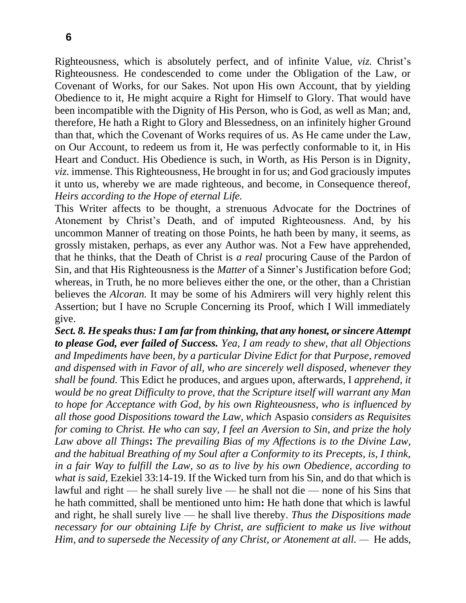Righteousness, which is absolutely perfect, and of infinite Value, *viz.* Christ's Righteousness. He condescended to come under the Obligation of the Law, or Covenant of Works, for our Sakes. Not upon His own Account, that by yielding Obedience to it, He might acquire a Right for Himself to Glory. That would have been incompatible with the Dignity of His Person, who is God, as well as Man; and, therefore, He hath a Right to Glory and Blessedness, on an infinitely higher Ground than that, which the Covenant of Works requires of us. As He came under the Law, on Our Account, to redeem us from it, He was perfectly conformable to it, in His Heart and Conduct. His Obedience is such, in Worth, as His Person is in Dignity, *viz.* immense. This Righteousness, He brought in for us; and God graciously imputes it unto us, whereby we are made righteous, and become, in Consequence thereof, *Heirs according to the Hope of eternal Life.*

This Writer affects to be thought, a strenuous Advocate for the Doctrines of Atonement by Christ's Death, and of imputed Righteousness. And, by his uncommon Manner of treating on those Points, he hath been by many, it seems, as grossly mistaken, perhaps, as ever any Author was. Not a Few have apprehended, that he thinks, that the Death of Christ is *a real* procuring Cause of the Pardon of Sin, and that His Righteousness is the *Matter* of a Sinner's Justification before God; whereas, in Truth, he no more believes either the one, or the other, than a Christian believes the *Alcoran.* It may be some of his Admirers will very highly relent this Assertion; but I have no Scruple Concerning its Proof, which I Will immediately give.

*Sect. 8. He speaks thus: I am far from thinking, that any honest, or sincere Attempt to please God, ever failed of Success. Yea, I am ready to shew, that all Objections and Impediments have been, by a particular Divine Edict for that Purpose, removed and dispensed with in Favor of all, who are sincerely well disposed, whenever they shall be found.* This Edict he produces, and argues upon, afterwards, I *apprehend, it would be no great Difficulty to prove, that the Scripture itself will warrant any Man to hope for Acceptance with God, by his own Righteousness, who is influenced by all those good Dispositions toward the Law, which* Aspasio *considers as Requisites for coming to Christ. He who can say, I feel an Aversion to Sin, and prize the holy Law above all Things***:** *The prevailing Bias of my Affections is to the Divine Law, and the habitual Breathing of my Soul after a Conformity to its Precepts, is, I think, in a fair Way to fulfill the Law, so as to live by his own Obedience, according to what is said,* Ezekiel 33:14-19. If the Wicked turn from his Sin, and do that which is lawful and right — he shall surely live — he shall not die — none of his Sins that he hath committed, shall be mentioned unto him**:** He hath done that which is lawful and right, he shall surely live — he shall live thereby. *Thus the Dispositions made necessary for our obtaining Life by Christ, are sufficient to make us live without Him, and to supersede the Necessity of any Christ, or Atonement at all.* — He adds,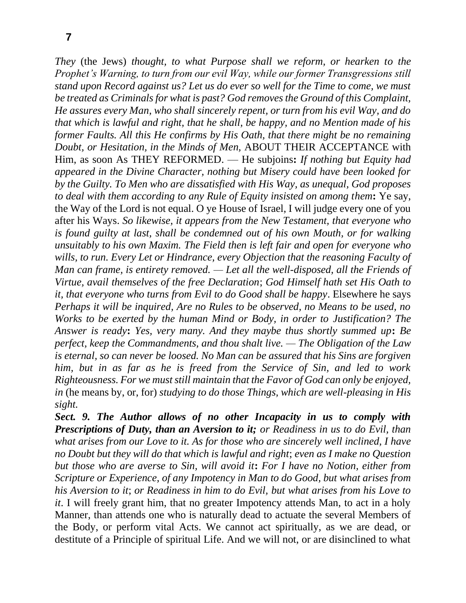*They* (the Jews) *thought, to what Purpose shall we reform, or hearken to the Prophet's Warning, to turn from our evil Way, while our former Transgressions still stand upon Record against us? Let us do ever so well for the Time to come, we must be treated as Criminals for what is past? God removes the Ground of this Complaint, He assures every Man, who shall sincerely repent, or turn from his evil Way, and do that which is lawful and right, that he shall, be happy, and no Mention made of his former Faults. All this He confirms by His Oath, that there might be no remaining Doubt, or Hesitation, in the Minds of Men,* ABOUT THEIR ACCEPTANCE with Him, as soon As THEY REFORMED. — He subjoins**:** *If nothing but Equity had appeared in the Divine Character, nothing but Misery could have been looked for by the Guilty. To Men who are dissatisfied with His Way, as unequal, God proposes to deal with them according to any Rule of Equity insisted on among them***:** Ye say, the Way of the Lord is not equal. O ye House of Israel, I will judge every one of you after his Ways. *So likewise, it appears from the New Testament, that everyone who is found guilty at last, shall be condemned out of his own Mouth, or for walking unsuitably to his own Maxim. The Field then is left fair and open for everyone who wills, to run. Every Let or Hindrance, every Objection that the reasoning Faculty of Man can frame, is entirety removed. — Let all the well-disposed, all the Friends of Virtue, avail themselves of the free Declaration*; *God Himself hath set His Oath to it, that everyone who turns from Evil to do Good shall be happy*. Elsewhere he says *Perhaps it will be inquired, Are no Rules to be observed, no Means to be used, no Works to be exerted by the human Mind or Body, in order to Justification? The Answer is ready***:** *Yes, very many. And they maybe thus shortly summed up***:** *Be perfect, keep the Commandments, and thou shalt live. — The Obligation of the Law is eternal, so can never be loosed. No Man can be assured that his Sins are forgiven him, but in as far as he is freed from the Service of Sin, and led to work Righteousness. For we must still maintain that the Favor of God can only be enjoyed, in* (he means by, or, for) *studying to do those Things, which are well-pleasing in His sight.*

*Sect. 9. The Author allows of no other Incapacity in us to comply with Prescriptions of Duty, than an Aversion to it; or Readiness in us to do Evil, than what arises from our Love to it. As for those who are sincerely well inclined, I have no Doubt but they will do that which is lawful and right*; *even as I make no Question but those who are averse to Sin, will avoid it***:** *For I have no Notion, either from Scripture or Experience, of any Impotency in Man to do Good, but what arises from his Aversion to it*; *or Readiness in him to do Evil, but what arises from his Love to it*. I will freely grant him, that no greater Impotency attends Man, to act in a holy Manner, than attends one who is naturally dead to actuate the several Members of the Body, or perform vital Acts. We cannot act spiritually, as we are dead, or destitute of a Principle of spiritual Life. And we will not, or are disinclined to what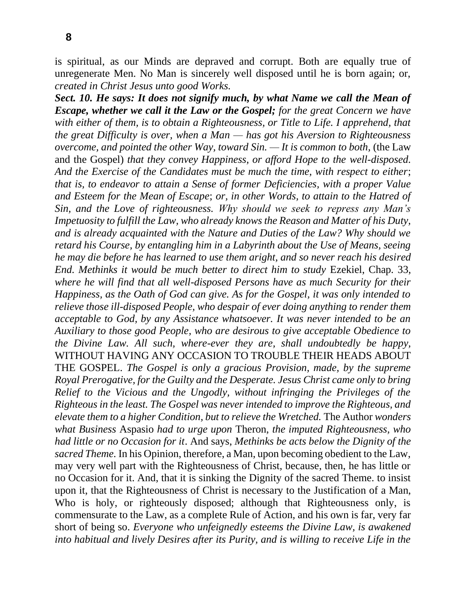is spiritual, as our Minds are depraved and corrupt. Both are equally true of unregenerate Men. No Man is sincerely well disposed until he is born again; or, *created in Christ Jesus unto good Works.*

*Sect. 10. He says: It does not signify much, by what Name we call the Mean of Escape, whether we call it the Law or the Gospel; for the great Concern we have with either of them, is to obtain a Righteousness, or Title to Life. I apprehend, that the great Difficulty is over, when a Man — has got his Aversion to Righteousness overcome, and pointed the other Way, toward Sin. — It is common to both,* (the Law and the Gospel) *that they convey Happiness, or afford Hope to the well-disposed. And the Exercise of the Candidates must be much the time, with respect to either*; *that is, to endeavor to attain a Sense of former Deficiencies, with a proper Value and Esteem for the Mean of Escape*; *or, in other Words, to attain to the Hatred of Sin, and the Love of righteousness. Why should we seek to repress any Man's Impetuosity to fulfill the Law, who already knows the Reason and Matter of his Duty, and is already acquainted with the Nature and Duties of the Law? Why should we retard his Course, by entangling him in a Labyrinth about the Use of Means, seeing he may die before he has learned to use them aright, and so never reach his desired End. Methinks it would be much better to direct him to study* Ezekiel, Chap*.* 33, *where he will find that all well-disposed Persons have as much Security for their Happiness, as the Oath of God can give. As for the Gospel, it was only intended to relieve those ill-disposed People, who despair of ever doing anything to render them acceptable to God, by any Assistance whatsoever. It was never intended to be an Auxiliary to those good People, who are desirous to give acceptable Obedience to the Divine Law. All such, where-ever they are, shall undoubtedly be happy,*  WITHOUT HAVING ANY OCCASION TO TROUBLE THEIR HEADS ABOUT THE GOSPEL. *The Gospel is only a gracious Provision, made, by the supreme Royal Prerogative, for the Guilty and the Desperate. Jesus Christ came only to bring Relief to the Vicious and the Ungodly, without infringing the Privileges of the Righteous in the least. The Gospel was never intended to improve the Righteous, and elevate them to a higher Condition, but to relieve the Wretched.* The Author *wonders what Business* Aspasio *had to urge upon* Theron, *the imputed Righteousness, who had little or no Occasion for it*. And says, *Methinks be acts below the Dignity of the sacred Theme.* In his Opinion, therefore, a Man, upon becoming obedient to the Law, may very well part with the Righteousness of Christ, because, then, he has little or no Occasion for it. And, that it is sinking the Dignity of the sacred Theme. to insist upon it, that the Righteousness of Christ is necessary to the Justification of a Man, Who is holy, or righteously disposed; although that Righteousness only, is commensurate to the Law, as a complete Rule of Action, and his own is far, very far short of being so. *Everyone who unfeignedly esteems the Divine Law, is awakened into habitual and lively Desires after its Purity, and is willing to receive Life in the*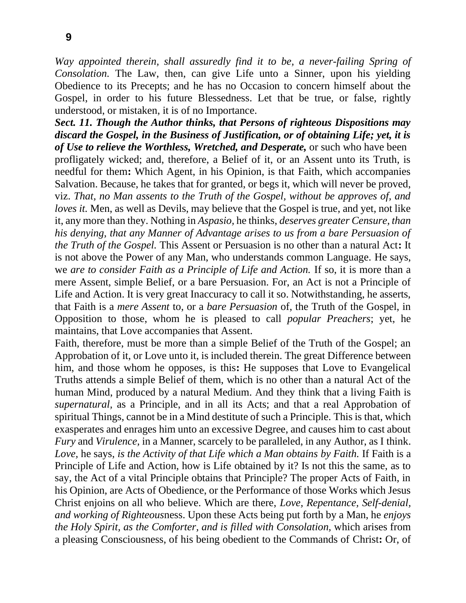*Way appointed therein, shall assuredly find it to be, a never-failing Spring of Consolation.* The Law, then, can give Life unto a Sinner, upon his yielding Obedience to its Precepts; and he has no Occasion to concern himself about the Gospel, in order to his future Blessedness. Let that be true, or false, rightly understood, or mistaken, it is of no Importance.

*Sect. 11. Though the Author thinks, that Persons of righteous Dispositions may discard the Gospel, in the Business of Justification, or of obtaining Life; yet, it is of Use to relieve the Worthless, Wretched, and Desperate,* or such who have been profligately wicked; and, therefore, a Belief of it, or an Assent unto its Truth, is needful for them**:** Which Agent, in his Opinion, is that Faith, which accompanies Salvation. Because, he takes that for granted, or begs it, which will never be proved, viz. *That, no Man assents to the Truth of the Gospel, without be approves of, and loves it.* Men, as well as Devils, may believe that the Gospel is true, and yet, not like it, any more than they. Nothing in *Aspasio,* he thinks, *deserves greater Censure, than his denying, that any Manner of Advantage arises to us from a bare Persuasion of the Truth of the Gospel.* This Assent or Persuasion is no other than a natural Act**:** It is not above the Power of any Man, who understands common Language. He says, we *are to consider Faith as a Principle of Life and Action.* If so, it is more than a mere Assent, simple Belief, or a bare Persuasion. For, an Act is not a Principle of Life and Action. It is very great Inaccuracy to call it so. Notwithstanding, he asserts, that Faith is a *mere Assent* to, or a *bare Persuasion* of, the Truth of the Gospel, in Opposition to those, whom he is pleased to call *popular Preachers*; yet, he maintains, that Love accompanies that Assent.

Faith, therefore, must be more than a simple Belief of the Truth of the Gospel; an Approbation of it, or Love unto it, is included therein. The great Difference between him, and those whom he opposes, is this**:** He supposes that Love to Evangelical Truths attends a simple Belief of them, which is no other than a natural Act of the human Mind, produced by a natural Medium. And they think that a living Faith is *supernatural,* as a Principle, and in all its Acts; and that a real Approbation of spiritual Things, cannot be in a Mind destitute of such a Principle. This is that, which exasperates and enrages him unto an excessive Degree, and causes him to cast about *Fury* and *Virulence,* in a Manner, scarcely to be paralleled, in any Author, as I think. *Love,* he says, *is the Activity of that Life which a Man obtains by Faith.* If Faith is a Principle of Life and Action, how is Life obtained by it? Is not this the same, as to say, the Act of a vital Principle obtains that Principle? The proper Acts of Faith, in his Opinion, are Acts of Obedience, or the Performance of those Works which Jesus Christ enjoins on all who believe. Which are there, *Love, Repentance, Self-denial, and working of Righteous*ness. Upon these Acts being put forth by a Man, he *enjoys the Holy Spirit, as the Comforter, and is filled with Consolation,* which arises from a pleasing Consciousness, of his being obedient to the Commands of Christ**:** Or, of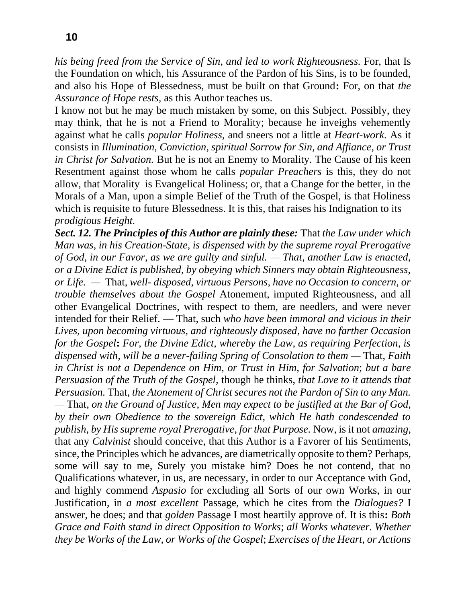*his being freed from the Service of Sin, and led to work Righteousness.* For, that Is the Foundation on which, his Assurance of the Pardon of his Sins, is to be founded, and also his Hope of Blessedness, must be built on that Ground**:** For, on that *the Assurance of Hope rests,* as this Author teaches us.

I know not but he may be much mistaken by some, on this Subject. Possibly, they may think, that he is not a Friend to Morality; because he inveighs vehemently against what he calls *popular Holiness,* and sneers not a little at *Heart-work.* As it consists in *Illumination, Conviction, spiritual Sorrow for Sin, and Affiance, or Trust in Christ for Salvation.* But he is not an Enemy to Morality. The Cause of his keen Resentment against those whom he calls *popular Preachers* is this, they do not allow, that Morality is Evangelical Holiness; or, that a Change for the better, in the Morals of a Man, upon a simple Belief of the Truth of the Gospel, is that Holiness which is requisite to future Blessedness. It is this, that raises his Indignation to its *prodigious Height.*

*Sect. 12. The Principles of this Author are plainly these:* That *the Law under which Man was, in his Creation-State, is dispensed with by the supreme royal Prerogative of God, in our Favor, as we are guilty and sinful. — That, another Law is enacted, or a Divine Edict is published, by obeying which Sinners may obtain Righteousness, or Life. —* That, *well- disposed, virtuous Persons, have no Occasion to concern, or trouble themselves about the Gospel* Atonement, imputed Righteousness, and all other Evangelical Doctrines, with respect to them, are needlers, and were never intended for their Relief. — That, such *who have been immoral and vicious in their Lives, upon becoming virtuous, and righteously disposed, have no farther Occasion for the Gospel***:** *For, the Divine Edict, whereby the Law, as requiring Perfection, is dispensed with, will be a never-failing Spring of Consolation to them —* That, *Faith in Christ is not a Dependence on Him, or Trust in Him, for Salvation*; *but a bare Persuasion of the Truth of the Gospel,* though he thinks, *that Love to it attends that Persuasion.* That, *the Atonement of Christ secures not the Pardon of Sin to any Man. —* That*, on the Ground of Justice, Men may expect to be justified at the Bar of God, by their own Obedience to the sovereign Edict, which He hath condescended to publish, by His supreme royal Prerogative, for that Purpose.* Now, is it not *amazing,*  that any *Calvinist* should conceive, that this Author is a Favorer of his Sentiments, since, the Principles which he advances, are diametrically opposite to them? Perhaps, some will say to me, Surely you mistake him? Does he not contend, that no Qualifications whatever, in us, are necessary, in order to our Acceptance with God, and highly commend *Aspasio* for excluding all Sorts of our own Works, in our Justification, in *a most excellent* Passage, which he cites from the *Dialogues?* I answer, he does; and that *golden* Passage I most heartily approve of. It is this**:** *Both Grace and Faith stand in direct Opposition to Works*; *all Works whatever. Whether they be Works of the Law, or Works of the Gospel*; *Exercises of the Heart, or Actions*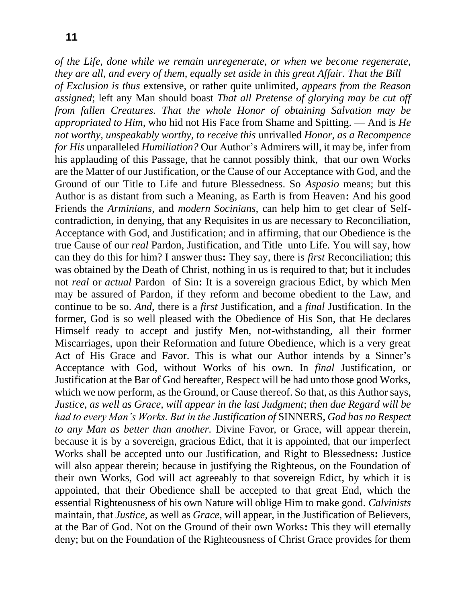*of the Life, done while we remain unregenerate, or when we become regenerate, they are all, and every of them, equally set aside in this great Affair. That the Bill of Exclusion is thus* extensive, or rather quite unlimited, *appears from the Reason assigned*; left any Man should boast *That all Pretense of glorying may be cut off from fallen Creatures. That the whole Honor of obtaining Salvation may be appropriated to Him,* who hid not His Face from Shame and Spitting. — And is *He not worthy, unspeakably worthy, to receive this* unrivalled *Honor, as a Recompence for His* unparalleled *Humiliation?* Our Author's Admirers will, it may be, infer from his applauding of this Passage, that he cannot possibly think, that our own Works are the Matter of our Justification, or the Cause of our Acceptance with God, and the Ground of our Title to Life and future Blessedness. So *Aspasio* means; but this Author is as distant from such a Meaning, as Earth is from Heaven**:** And his good Friends the *Arminians,* and *modern Socinians,* can help him to get clear of Selfcontradiction, in denying, that any Requisites in us are necessary to Reconciliation, Acceptance with God, and Justification; and in affirming, that our Obedience is the true Cause of our *real* Pardon, Justification, and Title unto Life. You will say, how can they do this for him? I answer thus**:** They say, there is *first* Reconciliation; this was obtained by the Death of Christ, nothing in us is required to that; but it includes not *real* or *actual* Pardon of Sin**:** It is a sovereign gracious Edict, by which Men may be assured of Pardon, if they reform and become obedient to the Law, and continue to be so. *And,* there is a *first* Justification, and a *final* Justification. In the former, God is so well pleased with the Obedience of His Son, that He declares Himself ready to accept and justify Men, not-withstanding, all their former Miscarriages, upon their Reformation and future Obedience, which is a very great Act of His Grace and Favor. This is what our Author intends by a Sinner's Acceptance with God, without Works of his own. In *final* Justification, or Justification at the Bar of God hereafter, Respect will be had unto those good Works, which we now perform, as the Ground, or Cause thereof. So that, as this Author says, *Justice, as well as Grace, will appear in the last Judgment*; *then due Regard will be had to every Man's Works. But in the Justification of* SINNERS, *God has no Respect to any Man as better than another.* Divine Favor, or Grace, will appear therein, because it is by a sovereign, gracious Edict, that it is appointed, that our imperfect Works shall be accepted unto our Justification, and Right to Blessedness**:** Justice will also appear therein; because in justifying the Righteous, on the Foundation of their own Works, God will act agreeably to that sovereign Edict, by which it is appointed, that their Obedience shall be accepted to that great End, which the essential Righteousness of his own Nature will oblige Him to make good. *Calvinists*  maintain, that *Justice,* as well as *Grace,* will appear, in the Justification of Believers, at the Bar of God. Not on the Ground of their own Works**:** This they will eternally deny; but on the Foundation of the Righteousness of Christ Grace provides for them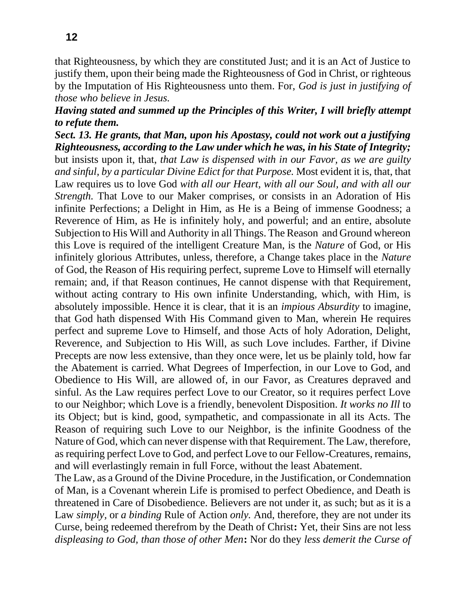that Righteousness, by which they are constituted Just; and it is an Act of Justice to justify them, upon their being made the Righteousness of God in Christ, or righteous by the Imputation of His Righteousness unto them. For, *God is just in justifying of those who believe in Jesus.* 

## *Having stated and summed up the Principles of this Writer, I will briefly attempt to refute them.*

*Sect. 13. He grants, that Man, upon his Apostasy, could not work out a justifying Righteousness, according to the Law under which he was, in his State of Integrity;*  but insists upon it, that, *that Law is dispensed with in our Favor, as we are guilty and sinful, by a particular Divine Edict for that Purpose.* Most evident it is, that, that Law requires us to love God *with all our Heart, with all our Soul, and with all our Strength.* That Love to our Maker comprises, or consists in an Adoration of His infinite Perfections; a Delight in Him, as He is a Being of immense Goodness; a Reverence of Him, as He is infinitely holy, and powerful; and an entire, absolute Subjection to His Will and Authority in all Things. The Reason and Ground whereon this Love is required of the intelligent Creature Man, is the *Nature* of God, or His infinitely glorious Attributes, unless, therefore, a Change takes place in the *Nature*  of God, the Reason of His requiring perfect, supreme Love to Himself will eternally remain; and, if that Reason continues, He cannot dispense with that Requirement, without acting contrary to His own infinite Understanding, which, with Him, is absolutely impossible. Hence it is clear, that it is an *impious Absurdity* to imagine, that God hath dispensed With His Command given to Man, wherein He requires perfect and supreme Love to Himself, and those Acts of holy Adoration, Delight, Reverence, and Subjection to His Will, as such Love includes. Farther, if Divine Precepts are now less extensive, than they once were, let us be plainly told, how far the Abatement is carried. What Degrees of Imperfection, in our Love to God, and Obedience to His Will, are allowed of, in our Favor, as Creatures depraved and sinful. As the Law requires perfect Love to our Creator, so it requires perfect Love to our Neighbor; which Love is a friendly, benevolent Disposition. *It works no Ill* to its Object; but is kind, good, sympathetic, and compassionate in all its Acts. The Reason of requiring such Love to our Neighbor, is the infinite Goodness of the Nature of God, which can never dispense with that Requirement. The Law, therefore, as requiring perfect Love to God, and perfect Love to our Fellow-Creatures, remains, and will everlastingly remain in full Force, without the least Abatement.

The Law, as a Ground of the Divine Procedure, in the Justification, or Condemnation of Man, is a Covenant wherein Life is promised to perfect Obedience, and Death is threatened in Care of Disobedience. Believers are not under it, as such; but as it is a Law *simply,* or *a binding* Rule of Action *only.* And, therefore, they are not under its Curse, being redeemed therefrom by the Death of Christ**:** Yet, their Sins are not less *displeasing to God, than those of other Men***:** Nor do they *less demerit the Curse of*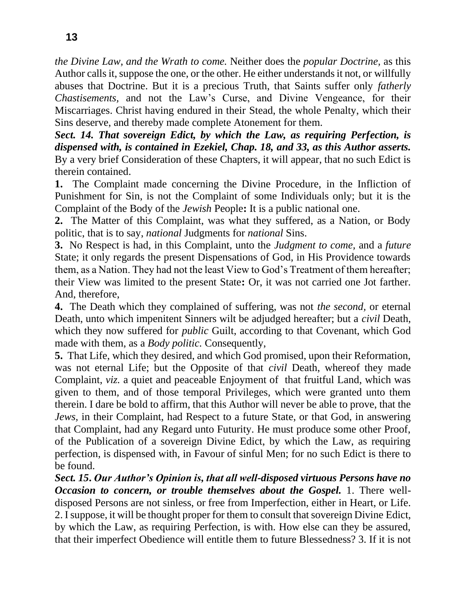*the Divine Law, and the Wrath to come.* Neither does the *popular Doctrine,* as this Author calls it, suppose the one, or the other. He either understands it not, or willfully abuses that Doctrine. But it is a precious Truth, that Saints suffer only *fatherly Chastisements,* and not the Law's Curse, and Divine Vengeance, for their Miscarriages. Christ having endured in their Stead, the whole Penalty, which their Sins deserve, and thereby made complete Atonement for them.

*Sect. 14. That sovereign Edict, by which the Law, as requiring Perfection, is dispensed with, is contained in Ezekiel, Chap. 18, and 33, as this Author asserts.*  By a very brief Consideration of these Chapters, it will appear, that no such Edict is therein contained.

**1.** The Complaint made concerning the Divine Procedure, in the Infliction of Punishment for Sin, is not the Complaint of some Individuals only; but it is the Complaint of the Body of the *Jewish* People**:** It is a public national one.

**2.** The Matter of this Complaint, was what they suffered, as a Nation, or Body politic, that is to say, *national* Judgments for *national* Sins.

**3.** No Respect is had, in this Complaint, unto the *Judgment to come,* and a *future*  State; it only regards the present Dispensations of God, in His Providence towards them, as a Nation. They had not the least View to God's Treatment of them hereafter; their View was limited to the present State**:** Or, it was not carried one Jot farther. And, therefore,

**4.** The Death which they complained of suffering, was not *the second,* or eternal Death, unto which impenitent Sinners wilt be adjudged hereafter; but a *civil* Death, which they now suffered for *public* Guilt, according to that Covenant, which God made with them, as a *Body politic.* Consequently,

**5.** That Life, which they desired, and which God promised, upon their Reformation, was not eternal Life; but the Opposite of that *civil* Death, whereof they made Complaint, *viz.* a quiet and peaceable Enjoyment of that fruitful Land, which was given to them, and of those temporal Privileges, which were granted unto them therein. I dare be bold to affirm, that this Author will never be able to prove, that the *Jews,* in their Complaint, had Respect to a future State, or that God, in answering that Complaint, had any Regard unto Futurity. He must produce some other Proof, of the Publication of a sovereign Divine Edict, by which the Law, as requiring perfection, is dispensed with, in Favour of sinful Men; for no such Edict is there to be found.

*Sect. 15***.** *Our Author's Opinion is, that all well-disposed virtuous Persons have no Occasion to concern, or trouble themselves about the Gospel.* 1. There welldisposed Persons are not sinless, or free from Imperfection, either in Heart, or Life. 2. I suppose, it will be thought proper for them to consult that sovereign Divine Edict, by which the Law, as requiring Perfection, is with. How else can they be assured, that their imperfect Obedience will entitle them to future Blessedness? 3. If it is not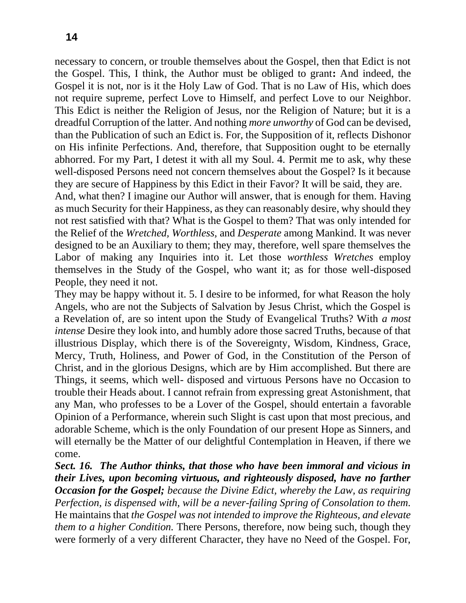necessary to concern, or trouble themselves about the Gospel, then that Edict is not the Gospel. This, I think, the Author must be obliged to grant**:** And indeed, the Gospel it is not, nor is it the Holy Law of God. That is no Law of His, which does not require supreme, perfect Love to Himself, and perfect Love to our Neighbor. This Edict is neither the Religion of Jesus, nor the Religion of Nature; but it is a dreadful Corruption of the latter. And nothing *more unworthy* of God can be devised, than the Publication of such an Edict is. For, the Supposition of it, reflects Dishonor on His infinite Perfections. And, therefore, that Supposition ought to be eternally abhorred. For my Part, I detest it with all my Soul. 4. Permit me to ask, why these well-disposed Persons need not concern themselves about the Gospel? Is it because they are secure of Happiness by this Edict in their Favor? It will be said, they are.

And, what then? I imagine our Author will answer, that is enough for them. Having as much Security for their Happiness, as they can reasonably desire, why should they not rest satisfied with that? What is the Gospel to them? That was only intended for the Relief of the *Wretched, Worthless,* and *Desperate* among Mankind. It was never designed to be an Auxiliary to them; they may, therefore, well spare themselves the Labor of making any Inquiries into it. Let those *worthless Wretches* employ themselves in the Study of the Gospel, who want it; as for those well-disposed People, they need it not.

They may be happy without it. 5. I desire to be informed, for what Reason the holy Angels, who are not the Subjects of Salvation by Jesus Christ, which the Gospel is a Revelation of, are so intent upon the Study of Evangelical Truths? With *a most intense* Desire they look into, and humbly adore those sacred Truths, because of that illustrious Display, which there is of the Sovereignty, Wisdom, Kindness, Grace, Mercy, Truth, Holiness, and Power of God, in the Constitution of the Person of Christ, and in the glorious Designs, which are by Him accomplished. But there are Things, it seems, which well- disposed and virtuous Persons have no Occasion to trouble their Heads about. I cannot refrain from expressing great Astonishment, that any Man, who professes to be a Lover of the Gospel, should entertain a favorable Opinion of a Performance, wherein such Slight is cast upon that most precious, and adorable Scheme, which is the only Foundation of our present Hope as Sinners, and will eternally be the Matter of our delightful Contemplation in Heaven, if there we come.

*Sect. 16. The Author thinks, that those who have been immoral and vicious in their Lives, upon becoming virtuous, and righteously disposed, have no farther Occasion for the Gospel; because the Divine Edict, whereby the Law, as requiring Perfection, is dispensed with, will be a never-failing Spring of Consolation to them.*  He maintains that *the Gospel was not intended to improve the Righteous, and elevate them to a higher Condition.* There Persons, therefore, now being such, though they were formerly of a very different Character, they have no Need of the Gospel. For,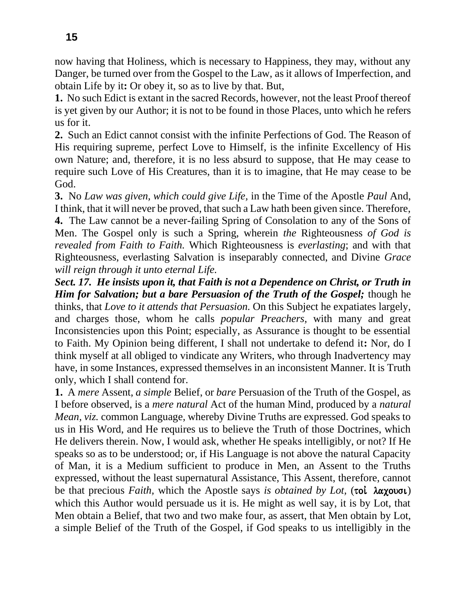now having that Holiness, which is necessary to Happiness, they may, without any Danger, be turned over from the Gospel to the Law, as it allows of Imperfection, and obtain Life by it**:** Or obey it, so as to live by that. But,

**1.** No such Edict is extant in the sacred Records, however, not the least Proof thereof is yet given by our Author; it is not to be found in those Places, unto which he refers us for it.

**2.** Such an Edict cannot consist with the infinite Perfections of God. The Reason of His requiring supreme, perfect Love to Himself, is the infinite Excellency of His own Nature; and, therefore, it is no less absurd to suppose, that He may cease to require such Love of His Creatures, than it is to imagine, that He may cease to be God.

**3.** No *Law was given, which could give Life,* in the Time of the Apostle *Paul* And, I think, that it will never be proved, that such a Law hath been given since. Therefore, **4.** The Law cannot be a never-failing Spring of Consolation to any of the Sons of Men. The Gospel only is such a Spring, wherein *the* Righteousness *of God is revealed from Faith to Faith.* Which Righteousness is *everlasting*; and with that Righteousness, everlasting Salvation is inseparably connected, and Divine *Grace will reign through it unto eternal Life.*

*Sect. 17. He insists upon it, that Faith is not a Dependence on Christ, or Truth in Him for Salvation; but a bare Persuasion of the Truth of the Gospel; though he* thinks, that *Love to it attends that Persuasion.* On this Subject he expatiates largely, and charges those, whom he calls *popular Preachers,* with many and great Inconsistencies upon this Point; especially, as Assurance is thought to be essential to Faith. My Opinion being different, I shall not undertake to defend it**:** Nor, do I think myself at all obliged to vindicate any Writers, who through Inadvertency may have, in some Instances, expressed themselves in an inconsistent Manner. It is Truth only, which I shall contend for.

**1.** A *mere* Assent, *a simple* Belief, or *bare* Persuasion of the Truth of the Gospel, as I before observed, is a *mere natural* Act of the human Mind, produced by a *natural Mean, viz.* common Language, whereby Divine Truths are expressed. God speaks to us in His Word, and He requires us to believe the Truth of those Doctrines, which He delivers therein. Now, I would ask, whether He speaks intelligibly, or not? If He speaks so as to be understood; or, if His Language is not above the natural Capacity of Man, it is a Medium sufficient to produce in Men, an Assent to the Truths expressed, without the least supernatural Assistance, This Assent, therefore, cannot be that precious *Faith*, which the Apostle says *is obtained by Lot*, (toi  $\lambda \alpha \chi \text{ (out)}$ ) which this Author would persuade us it is. He might as well say, it is by Lot, that Men obtain a Belief, that two and two make four, as assert, that Men obtain by Lot, a simple Belief of the Truth of the Gospel, if God speaks to us intelligibly in the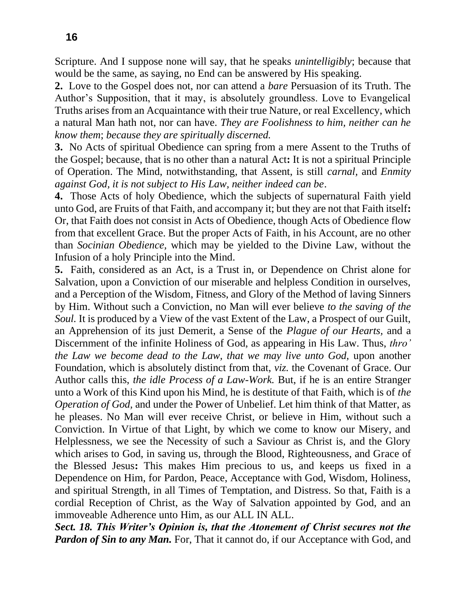Scripture. And I suppose none will say, that he speaks *unintelligibly*; because that would be the same, as saying, no End can be answered by His speaking.

**2.** Love to the Gospel does not, nor can attend a *bare* Persuasion of its Truth. The Author's Supposition, that it may, is absolutely groundless. Love to Evangelical Truths arises from an Acquaintance with their true Nature, or real Excellency, which a natural Man hath not, nor can have. *They are Foolishness to him, neither can he know them*; *because they are spiritually discerned.*

**3.** No Acts of spiritual Obedience can spring from a mere Assent to the Truths of the Gospel; because, that is no other than a natural Act**:** It is not a spiritual Principle of Operation. The Mind, notwithstanding, that Assent, is still *carnal,* and *Enmity against God, it is not subject to His Law, neither indeed can be*.

**4.** Those Acts of holy Obedience, which the subjects of supernatural Faith yield unto God, are Fruits of that Faith, and accompany it; but they are not that Faith itself**:**  Or, that Faith does not consist in Acts of Obedience, though Acts of Obedience flow from that excellent Grace. But the proper Acts of Faith, in his Account, are no other than *Socinian Obedience,* which may be yielded to the Divine Law, without the Infusion of a holy Principle into the Mind.

**5.** Faith, considered as an Act, is a Trust in, or Dependence on Christ alone for Salvation, upon a Conviction of our miserable and helpless Condition in ourselves, and a Perception of the Wisdom, Fitness, and Glory of the Method of laving Sinners by Him. Without such a Conviction, no Man will ever believe *to the saving of the Soul.* It is produced by a View of the vast Extent of the Law, a Prospect of our Guilt, an Apprehension of its just Demerit, a Sense of the *Plague of our Hearts,* and a Discernment of the infinite Holiness of God, as appearing in His Law. Thus, *thro' the Law we become dead to the Law, that we may live unto God,* upon another Foundation, which is absolutely distinct from that, *viz.* the Covenant of Grace. Our Author calls this, *the idle Process of a Law-Work.* But, if he is an entire Stranger unto a Work of this Kind upon his Mind, he is destitute of that Faith, which is of *the Operation of God,* and under the Power of Unbelief. Let him think of that Matter, as he pleases. No Man will ever receive Christ, or believe in Him, without such a Conviction. In Virtue of that Light, by which we come to know our Misery, and Helplessness, we see the Necessity of such a Saviour as Christ is, and the Glory which arises to God, in saving us, through the Blood, Righteousness, and Grace of the Blessed Jesus**:** This makes Him precious to us, and keeps us fixed in a Dependence on Him, for Pardon, Peace, Acceptance with God, Wisdom, Holiness, and spiritual Strength, in all Times of Temptation, and Distress. So that, Faith is a cordial Reception of Christ, as the Way of Salvation appointed by God, and an immoveable Adherence unto Him, as our ALL IN ALL.

*Sect. 18. This Writer's Opinion is, that the Atonement of Christ secures not the Pardon of Sin to any Man.* For, That it cannot do, if our Acceptance with God, and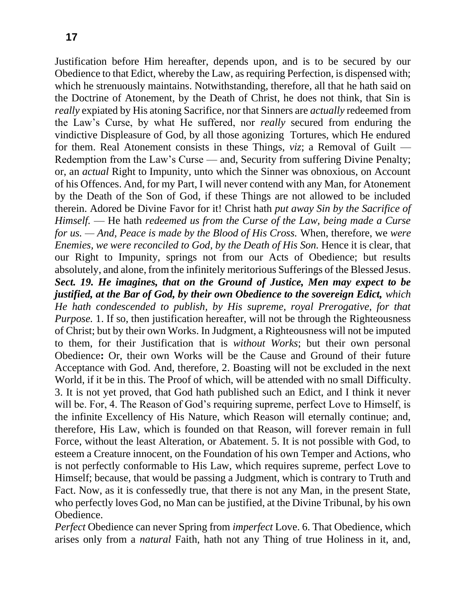Justification before Him hereafter, depends upon, and is to be secured by our Obedience to that Edict, whereby the Law, as requiring Perfection, is dispensed with; which he strenuously maintains. Notwithstanding, therefore, all that he hath said on the Doctrine of Atonement, by the Death of Christ, he does not think, that Sin is *really* expiated by His atoning Sacrifice, nor that Sinners are *actually* redeemed from the Law's Curse, by what He suffered, nor *really* secured from enduring the vindictive Displeasure of God, by all those agonizing Tortures, which He endured for them. Real Atonement consists in these Things, *viz*; a Removal of Guilt — Redemption from the Law's Curse — and, Security from suffering Divine Penalty; or, an *actual* Right to Impunity, unto which the Sinner was obnoxious, on Account of his Offences. And, for my Part, I will never contend with any Man, for Atonement by the Death of the Son of God, if these Things are not allowed to be included therein. Adored be Divine Favor for it! Christ hath *put away Sin by the Sacrifice of Himself.* — He hath *redeemed us from the Curse of the Law, being made a Curse for us. — And, Peace is made by the Blood of His Cross.* When, therefore, we *were Enemies, we were reconciled to God, by the Death of His Son. Hence it is clear, that* our Right to Impunity, springs not from our Acts of Obedience; but results absolutely, and alone, from the infinitely meritorious Sufferings of the Blessed Jesus. *Sect. 19. He imagines, that on the Ground of Justice, Men may expect to be justified, at the Bar of God, by their own Obedience to the sovereign Edict, which He hath condescended to publish, by His supreme, royal Prerogative, for that Purpose.* 1. If so, then justification hereafter, will not be through the Righteousness of Christ; but by their own Works. In Judgment, a Righteousness will not be imputed to them, for their Justification that is *without Works*; but their own personal Obedience**:** Or, their own Works will be the Cause and Ground of their future Acceptance with God. And, therefore, 2. Boasting will not be excluded in the next World, if it be in this. The Proof of which, will be attended with no small Difficulty. 3. It is not yet proved, that God hath published such an Edict, and I think it never will be. For, 4. The Reason of God's requiring supreme, perfect Love to Himself, is the infinite Excellency of His Nature, which Reason will eternally continue; and, therefore, His Law, which is founded on that Reason, will forever remain in full Force, without the least Alteration, or Abatement. 5. It is not possible with God, to esteem a Creature innocent, on the Foundation of his own Temper and Actions, who is not perfectly conformable to His Law, which requires supreme, perfect Love to Himself; because, that would be passing a Judgment, which is contrary to Truth and Fact. Now, as it is confessedly true, that there is not any Man, in the present State, who perfectly loves God, no Man can be justified, at the Divine Tribunal, by his own Obedience.

*Perfect* Obedience can never Spring from *imperfect* Love. 6. That Obedience, which arises only from a *natural* Faith, hath not any Thing of true Holiness in it, and,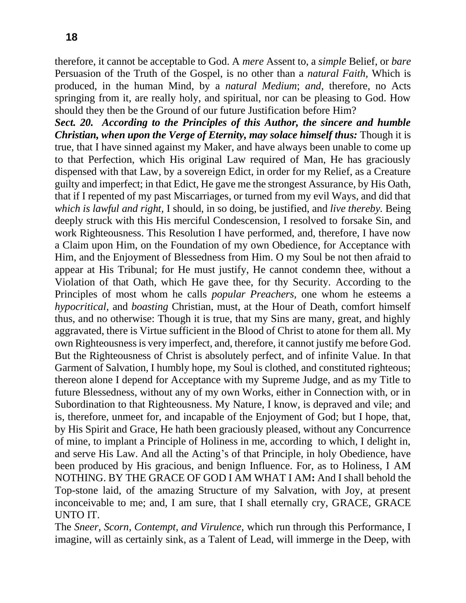therefore, it cannot be acceptable to God. A *mere* Assent to, a *simple* Belief, or *bare*  Persuasion of the Truth of the Gospel, is no other than a *natural Faith,* Which is produced, in the human Mind, by a *natural Medium*; *and,* therefore, no Acts springing from it, are really holy, and spiritual, nor can be pleasing to God. How should they then be the Ground of our future Justification before Him?

*Sect. 20. According to the Principles of this Author, the sincere and humble Christian, when upon the Verge of Eternity, may solace himself thus:* Though it is true, that I have sinned against my Maker, and have always been unable to come up to that Perfection, which His original Law required of Man, He has graciously dispensed with that Law, by a sovereign Edict, in order for my Relief, as a Creature guilty and imperfect; in that Edict, He gave me the strongest Assurance, by His Oath, that if I repented of my past Miscarriages, or turned from my evil Ways, and did that *which is lawful and right,* I should, in so doing, be justified, and *live thereby.* Being deeply struck with this His merciful Condescension, I resolved to forsake Sin, and work Righteousness. This Resolution I have performed, and, therefore, I have now a Claim upon Him, on the Foundation of my own Obedience, for Acceptance with Him, and the Enjoyment of Blessedness from Him. O my Soul be not then afraid to appear at His Tribunal; for He must justify, He cannot condemn thee, without a Violation of that Oath, which He gave thee, for thy Security. According to the Principles of most whom he calls *popular Preachers,* one whom he esteems a *hypocritical,* and *boasting* Christian, must, at the Hour of Death, comfort himself thus, and no otherwise: Though it is true, that my Sins are many, great, and highly aggravated, there is Virtue sufficient in the Blood of Christ to atone for them all. My own Righteousness is very imperfect, and, therefore, it cannot justify me before God. But the Righteousness of Christ is absolutely perfect, and of infinite Value. In that Garment of Salvation, I humbly hope, my Soul is clothed, and constituted righteous; thereon alone I depend for Acceptance with my Supreme Judge, and as my Title to future Blessedness, without any of my own Works, either in Connection with, or in Subordination to that Righteousness. My Nature, I know, is depraved and vile; and is, therefore, unmeet for, and incapable of the Enjoyment of God; but I hope, that, by His Spirit and Grace, He hath been graciously pleased, without any Concurrence of mine, to implant a Principle of Holiness in me, according to which, I delight in, and serve His Law. And all the Acting's of that Principle, in holy Obedience, have been produced by His gracious, and benign Influence. For, as to Holiness, I AM NOTHING. BY THE GRACE OF GOD I AM WHAT I AM**:** And I shall behold the Top-stone laid, of the amazing Structure of my Salvation, with Joy, at present inconceivable to me; and, I am sure, that I shall eternally cry, GRACE, GRACE UNTO IT.

The *Sneer, Scorn, Contempt, and Virulence,* which run through this Performance, I imagine, will as certainly sink, as a Talent of Lead, will immerge in the Deep, with